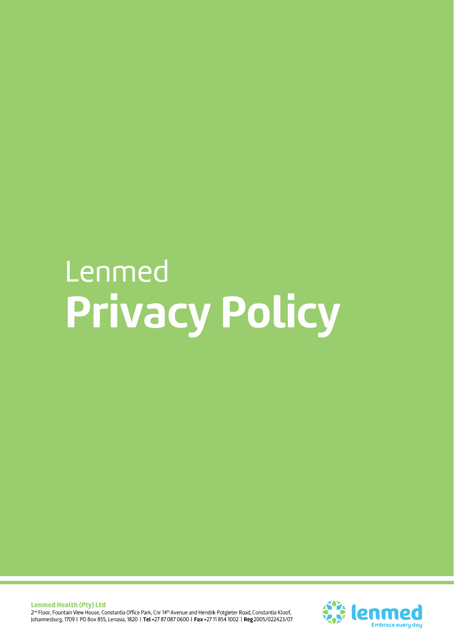# Lenmed Privacy Policy

**Lenmed Health (Pty) Ltd** 2<sup>nd</sup> Floor, Fountain View House, Constantia Office Park, Cnr 14<sup>th</sup> Avenue and Hendrik Potgieter Road, Constantia Kloof, Johannesburg, 1709 | PO Box 855, Lenasia, 1820 | Tel +27 87 087 0600 | Fax +27 11 854 1002 | Reg 2005/022423/07

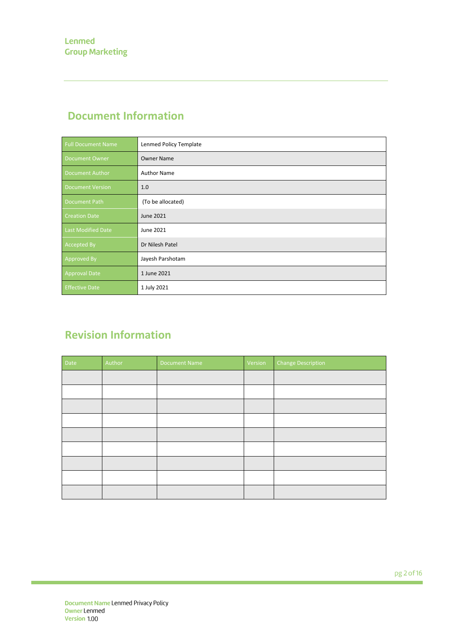# **Document Information**

| <b>Full Document Name</b> | Lenmed Policy Template |
|---------------------------|------------------------|
| Document Owner            | <b>Owner Name</b>      |
| Document Author           | <b>Author Name</b>     |
| <b>Document Version</b>   | 1.0                    |
| Document Path             | (To be allocated)      |
| <b>Creation Date</b>      | June 2021              |
| Last Modified Date        | June 2021              |
| Accepted By               | Dr Nilesh Patel        |
| Approved By               | Jayesh Parshotam       |
| <b>Approval Date</b>      | 1 June 2021            |
| <b>Effective Date</b>     | 1 July 2021            |

# **Revision Information**

| Date | Author | <b>Document Name</b> | Version | <b>Change Description</b> |
|------|--------|----------------------|---------|---------------------------|
|      |        |                      |         |                           |
|      |        |                      |         |                           |
|      |        |                      |         |                           |
|      |        |                      |         |                           |
|      |        |                      |         |                           |
|      |        |                      |         |                           |
|      |        |                      |         |                           |
|      |        |                      |         |                           |
|      |        |                      |         |                           |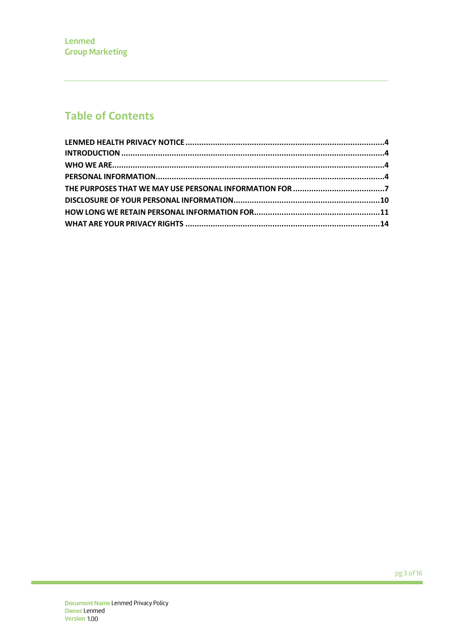# **Table of Contents**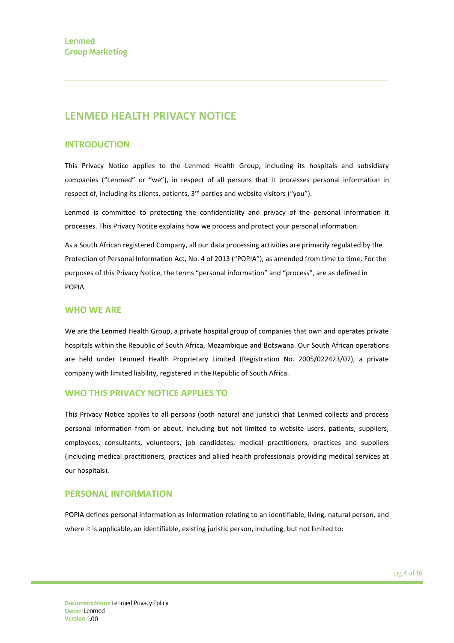# **LENMED HEALTH PRIVACY NOTICE**

### **INTRODUCTION**

This Privacy Notice applies to the Lenmed Health Group, including its hospitals and subsidiary companies ("Lenmed" or "we"), in respect of all persons that it processes personal information in respect of, including its clients, patients,  $3<sup>rd</sup>$  parties and website visitors ("you").

Lenmed is committed to protecting the confidentiality and privacy of the personal information it processes. This Privacy Notice explains how we process and protect your personal information.

As a South African registered Company, all our data processing activities are primarily regulated by the Protection of Personal Information Act, No. 4 of 2013 ("POPIA"), as amended from time to time. For the purposes of this Privacy Notice, the terms "personal information" and "process", are as defined in POPIA.

#### **WHO WE ARE**

We are the Lenmed Health Group, a private hospital group of companies that own and operates private hospitals within the Republic of South Africa, Mozambique and Botswana. Our South African operations are held under Lenmed Health Proprietary Limited (Registration No. 2005/022423/07), a private company with limited liability, registered in the Republic of South Africa.

#### **WHO THIS PRIVACY NOTICE APPLIES TO**

This Privacy Notice applies to all persons (both natural and juristic) that Lenmed collects and process personal information from or about, including but not limited to website users, patients, suppliers, employees, consultants, volunteers, job candidates, medical practitioners, practices and suppliers (including medical practitioners, practices and allied health professionals providing medical services at our hospitals).

#### **PERSONAL INFORMATION**

POPIA defines personal information as information relating to an identifiable, living, natural person, and where it is applicable, an identifiable, existing juristic person, including, but not limited to: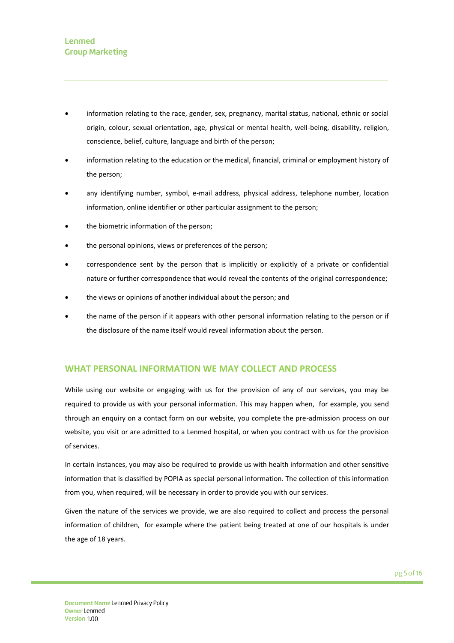- information relating to the race, gender, sex, pregnancy, marital status, national, ethnic or social origin, colour, sexual orientation, age, physical or mental health, well-being, disability, religion, conscience, belief, culture, language and birth of the person;
- information relating to the education or the medical, financial, criminal or employment history of the person;
- any identifying number, symbol, e-mail address, physical address, telephone number, location information, online identifier or other particular assignment to the person;
- the biometric information of the person;
- the personal opinions, views or preferences of the person;
- correspondence sent by the person that is implicitly or explicitly of a private or confidential nature or further correspondence that would reveal the contents of the original correspondence;
- the views or opinions of another individual about the person; and
- the name of the person if it appears with other personal information relating to the person or if the disclosure of the name itself would reveal information about the person.

## **WHAT PERSONAL INFORMATION WE MAY COLLECT AND PROCESS**

While using our website or engaging with us for the provision of any of our services, you may be required to provide us with your personal information. This may happen when, for example, you send through an enquiry on a contact form on our website, you complete the pre-admission process on our website, you visit or are admitted to a Lenmed hospital, or when you contract with us for the provision of services.

In certain instances, you may also be required to provide us with health information and other sensitive information that is classified by POPIA as special personal information. The collection of this information from you, when required, will be necessary in order to provide you with our services.

Given the nature of the services we provide, we are also required to collect and process the personal information of children, for example where the patient being treated at one of our hospitals is under the age of 18 years.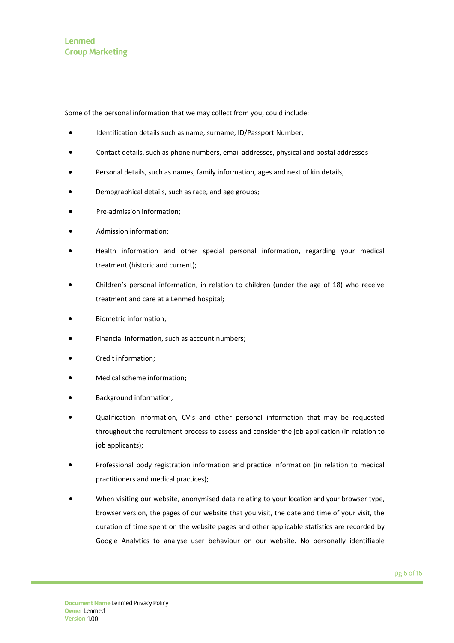Some of the personal information that we may collect from you, could include:

- Identification details such as name, surname, ID/Passport Number;
- Contact details, such as phone numbers, email addresses, physical and postal addresses
- Personal details, such as names, family information, ages and next of kin details;
- Demographical details, such as race, and age groups;
- Pre-admission information;
- Admission information;
- Health information and other special personal information, regarding your medical treatment (historic and current);
- Children's personal information, in relation to children (under the age of 18) who receive treatment and care at a Lenmed hospital;
- Biometric information;
- Financial information, such as account numbers;
- Credit information;
- Medical scheme information;
- Background information;
- Qualification information, CV's and other personal information that may be requested throughout the recruitment process to assess and consider the job application (in relation to job applicants);
- Professional body registration information and practice information (in relation to medical practitioners and medical practices);
- When visiting our website, anonymised data relating to your location and your browser type, browser version, the pages of our website that you visit, the date and time of your visit, the duration of time spent on the website pages and other applicable statistics are recorded by Google Analytics to analyse user behaviour on our website. No personally identifiable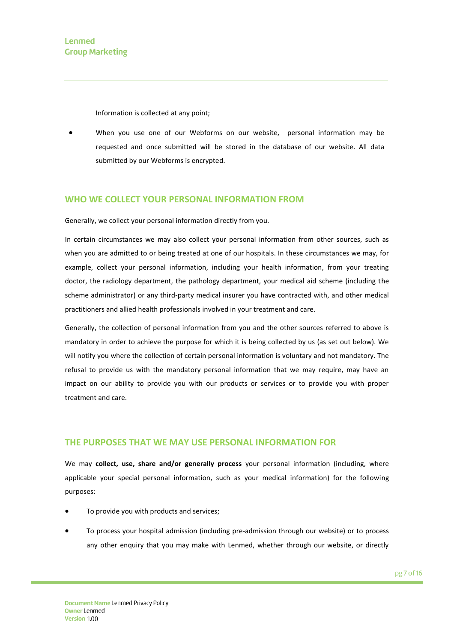Information is collected at any point;

• When you use one of our Webforms on our website, personal information may be requested and once submitted will be stored in the database of our website. All data submitted by our Webforms is encrypted.

#### **WHO WE COLLECT YOUR PERSONAL INFORMATION FROM**

Generally, we collect your personal information directly from you.

In certain circumstances we may also collect your personal information from other sources, such as when you are admitted to or being treated at one of our hospitals. In these circumstances we may, for example, collect your personal information, including your health information, from your treating doctor, the radiology department, the pathology department, your medical aid scheme (including the scheme administrator) or any third-party medical insurer you have contracted with, and other medical practitioners and allied health professionals involved in your treatment and care.

Generally, the collection of personal information from you and the other sources referred to above is mandatory in order to achieve the purpose for which it is being collected by us (as set out below). We will notify you where the collection of certain personal information is voluntary and not mandatory. The refusal to provide us with the mandatory personal information that we may require, may have an impact on our ability to provide you with our products or services or to provide you with proper treatment and care.

#### **THE PURPOSES THAT WE MAY USE PERSONAL INFORMATION FOR**

We may **collect, use, share and/or generally process** your personal information (including, where applicable your special personal information, such as your medical information) for the following purposes:

- To provide you with products and services;
- To process your hospital admission (including pre-admission through our website) or to process any other enquiry that you may make with Lenmed, whether through our website, or directly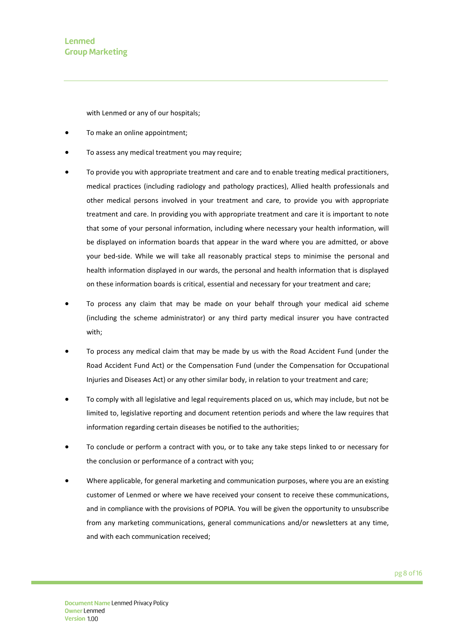## Lenmed **Group Marketing**

with Lenmed or any of our hospitals;

- To make an online appointment;
- To assess any medical treatment you may require;
- To provide you with appropriate treatment and care and to enable treating medical practitioners, medical practices (including radiology and pathology practices), Allied health professionals and other medical persons involved in your treatment and care, to provide you with appropriate treatment and care. In providing you with appropriate treatment and care it is important to note that some of your personal information, including where necessary your health information, will be displayed on information boards that appear in the ward where you are admitted, or above your bed-side. While we will take all reasonably practical steps to minimise the personal and health information displayed in our wards, the personal and health information that is displayed on these information boards is critical, essential and necessary for your treatment and care;
- To process any claim that may be made on your behalf through your medical aid scheme (including the scheme administrator) or any third party medical insurer you have contracted with;
- To process any medical claim that may be made by us with the Road Accident Fund (under the Road Accident Fund Act) or the Compensation Fund (under the Compensation for Occupational Injuries and Diseases Act) or any other similar body, in relation to your treatment and care;
- To comply with all legislative and legal requirements placed on us, which may include, but not be limited to, legislative reporting and document retention periods and where the law requires that information regarding certain diseases be notified to the authorities;
- To conclude or perform a contract with you, or to take any take steps linked to or necessary for the conclusion or performance of a contract with you;
- Where applicable, for general marketing and communication purposes, where you are an existing customer of Lenmed or where we have received your consent to receive these communications, and in compliance with the provisions of POPIA. You will be given the opportunity to unsubscribe from any marketing communications, general communications and/or newsletters at any time, and with each communication received;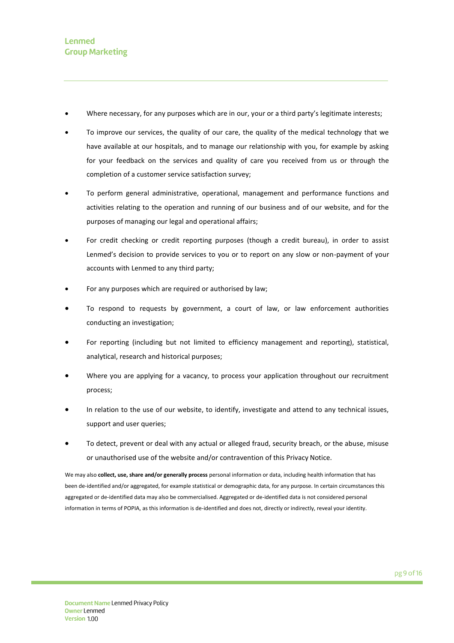- Where necessary, for any purposes which are in our, your or a third party's legitimate interests;
- To improve our services, the quality of our care, the quality of the medical technology that we have available at our hospitals, and to manage our relationship with you, for example by asking for your feedback on the services and quality of care you received from us or through the completion of a customer service satisfaction survey;
- To perform general administrative, operational, management and performance functions and activities relating to the operation and running of our business and of our website, and for the purposes of managing our legal and operational affairs;
- For credit checking or credit reporting purposes (though a credit bureau), in order to assist Lenmed's decision to provide services to you or to report on any slow or non-payment of your accounts with Lenmed to any third party;
- For any purposes which are required or authorised by law;
- To respond to requests by government, a court of law, or law enforcement authorities conducting an investigation;
- For reporting (including but not limited to efficiency management and reporting), statistical, analytical, research and historical purposes;
- Where you are applying for a vacancy, to process your application throughout our recruitment process;
- In relation to the use of our website, to identify, investigate and attend to any technical issues, support and user queries;
- To detect, prevent or deal with any actual or alleged fraud, security breach, or the abuse, misuse or unauthorised use of the website and/or contravention of this Privacy Notice.

We may also **collect, use, share and/or generally process** personal information or data, including health information that has been de-identified and/or aggregated, for example statistical or demographic data, for any purpose. In certain circumstances this aggregated or de-identified data may also be commercialised. Aggregated or de-identified data is not considered personal information in terms of POPIA, as this information is de-identified and does not, directly or indirectly, reveal your identity.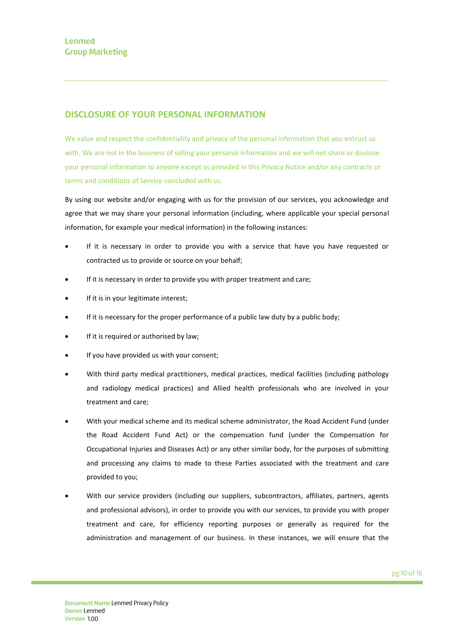## **DISCLOSURE OF YOUR PERSONAL INFORMATION**

We value and respect the confidentiality and privacy of the personal information that you entrust us with. We are not in the business of selling your personal information and we will not share or disclose your personal information to anyone except as provided in this Privacy Notice and/or any contracts or terms and conditions of Service concluded with us.

By using our website and/or engaging with us for the provision of our services, you acknowledge and agree that we may share your personal information (including, where applicable your special personal information, for example your medical information) in the following instances:

- If it is necessary in order to provide you with a service that have you have requested or contracted us to provide or source on your behalf;
- If it is necessary in order to provide you with proper treatment and care;
- If it is in your legitimate interest;
- If it is necessary for the proper performance of a public law duty by a public body;
- If it is required or authorised by law;
- If you have provided us with your consent;
- With third party medical practitioners, medical practices, medical facilities (including pathology and radiology medical practices) and Allied health professionals who are involved in your treatment and care;
- With your medical scheme and its medical scheme administrator, the Road Accident Fund (under the Road Accident Fund Act) or the compensation fund (under the Compensation for Occupational Injuries and Diseases Act) or any other similar body, for the purposes of submitting and processing any claims to made to these Parties associated with the treatment and care provided to you;
- With our service providers (including our suppliers, subcontractors, affiliates, partners, agents and professional advisors), in order to provide you with our services, to provide you with proper treatment and care, for efficiency reporting purposes or generally as required for the administration and management of our business. In these instances, we will ensure that the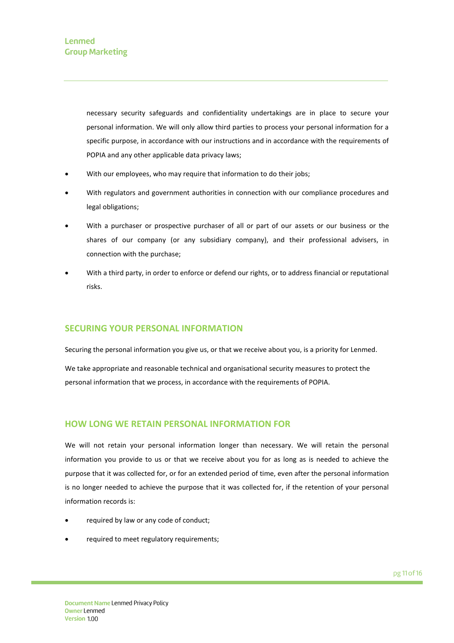necessary security safeguards and confidentiality undertakings are in place to secure your personal information. We will only allow third parties to process your personal information for a specific purpose, in accordance with our instructions and in accordance with the requirements of POPIA and any other applicable data privacy laws;

- With our employees, who may require that information to do their jobs;
- With regulators and government authorities in connection with our compliance procedures and legal obligations;
- With a purchaser or prospective purchaser of all or part of our assets or our business or the shares of our company (or any subsidiary company), and their professional advisers, in connection with the purchase;
- With a third party, in order to enforce or defend our rights, or to address financial or reputational risks.

#### **SECURING YOUR PERSONAL INFORMATION**

Securing the personal information you give us, or that we receive about you, is a priority for Lenmed.

We take appropriate and reasonable technical and organisational security measures to protect the personal information that we process, in accordance with the requirements of POPIA.

#### **HOW LONG WE RETAIN PERSONAL INFORMATION FOR**

We will not retain your personal information longer than necessary. We will retain the personal information you provide to us or that we receive about you for as long as is needed to achieve the purpose that it was collected for, or for an extended period of time, even after the personal information is no longer needed to achieve the purpose that it was collected for, if the retention of your personal information records is:

- required by law or any code of conduct;
- required to meet regulatory requirements;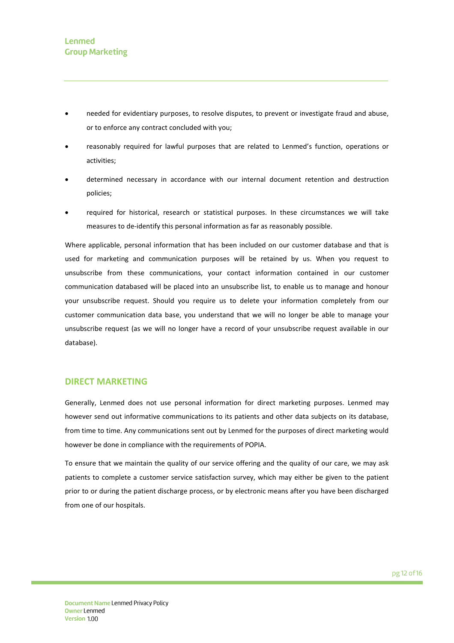- needed for evidentiary purposes, to resolve disputes, to prevent or investigate fraud and abuse, or to enforce any contract concluded with you;
- reasonably required for lawful purposes that are related to Lenmed's function, operations or activities;
- determined necessary in accordance with our internal document retention and destruction policies;
- required for historical, research or statistical purposes. In these circumstances we will take measures to de-identify this personal information as far as reasonably possible.

Where applicable, personal information that has been included on our customer database and that is used for marketing and communication purposes will be retained by us. When you request to unsubscribe from these communications, your contact information contained in our customer communication databased will be placed into an unsubscribe list, to enable us to manage and honour your unsubscribe request. Should you require us to delete your information completely from our customer communication data base, you understand that we will no longer be able to manage your unsubscribe request (as we will no longer have a record of your unsubscribe request available in our database).

#### **DIRECT MARKETING**

Generally, Lenmed does not use personal information for direct marketing purposes. Lenmed may however send out informative communications to its patients and other data subjects on its database, from time to time. Any communications sent out by Lenmed for the purposes of direct marketing would however be done in compliance with the requirements of POPIA.

To ensure that we maintain the quality of our service offering and the quality of our care, we may ask patients to complete a customer service satisfaction survey, which may either be given to the patient prior to or during the patient discharge process, or by electronic means after you have been discharged from one of our hospitals.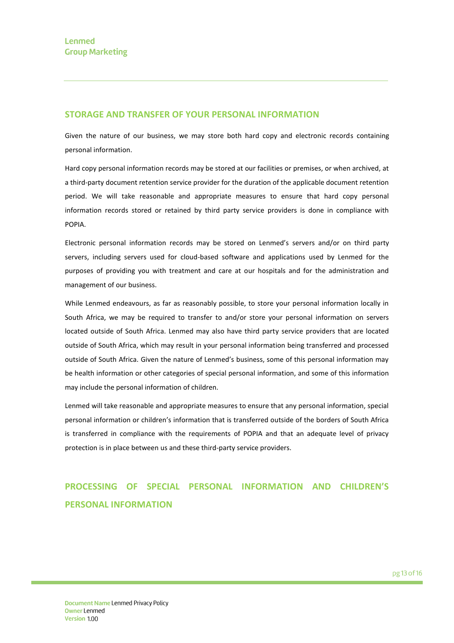### **STORAGE AND TRANSFER OF YOUR PERSONAL INFORMATION**

Given the nature of our business, we may store both hard copy and electronic records containing personal information.

Hard copy personal information records may be stored at our facilities or premises, or when archived, at a third-party document retention service provider for the duration of the applicable document retention period. We will take reasonable and appropriate measures to ensure that hard copy personal information records stored or retained by third party service providers is done in compliance with POPIA.

Electronic personal information records may be stored on Lenmed's servers and/or on third party servers, including servers used for cloud-based software and applications used by Lenmed for the purposes of providing you with treatment and care at our hospitals and for the administration and management of our business.

While Lenmed endeavours, as far as reasonably possible, to store your personal information locally in South Africa, we may be required to transfer to and/or store your personal information on servers located outside of South Africa. Lenmed may also have third party service providers that are located outside of South Africa, which may result in your personal information being transferred and processed outside of South Africa. Given the nature of Lenmed's business, some of this personal information may be health information or other categories of special personal information, and some of this information may include the personal information of children.

Lenmed will take reasonable and appropriate measures to ensure that any personal information, special personal information or children's information that is transferred outside of the borders of South Africa is transferred in compliance with the requirements of POPIA and that an adequate level of privacy protection is in place between us and these third-party service providers.

# **PROCESSING OF SPECIAL PERSONAL INFORMATION AND CHILDREN'S PERSONAL INFORMATION**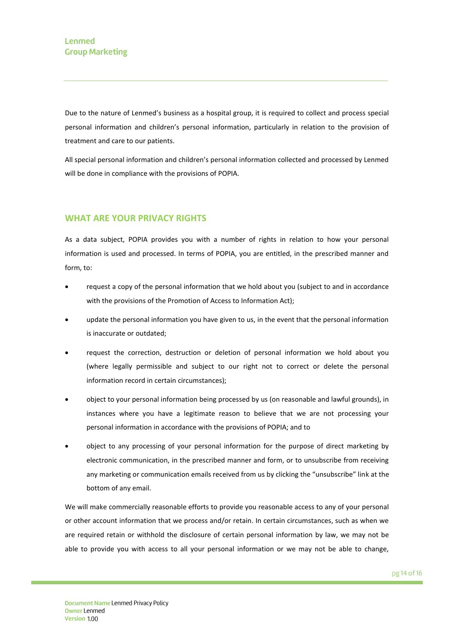Due to the nature of Lenmed's business as a hospital group, it is required to collect and process special personal information and children's personal information, particularly in relation to the provision of treatment and care to our patients.

All special personal information and children's personal information collected and processed by Lenmed will be done in compliance with the provisions of POPIA.

# **WHAT ARE YOUR PRIVACY RIGHTS**

As a data subject, POPIA provides you with a number of rights in relation to how your personal information is used and processed. In terms of POPIA, you are entitled, in the prescribed manner and form, to:

- request a copy of the personal information that we hold about you (subject to and in accordance with the provisions of the Promotion of Access to Information Act);
- update the personal information you have given to us, in the event that the personal information is inaccurate or outdated;
- request the correction, destruction or deletion of personal information we hold about you (where legally permissible and subject to our right not to correct or delete the personal information record in certain circumstances);
- object to your personal information being processed by us (on reasonable and lawful grounds), in instances where you have a legitimate reason to believe that we are not processing your personal information in accordance with the provisions of POPIA; and to
- object to any processing of your personal information for the purpose of direct marketing by electronic communication, in the prescribed manner and form, or to unsubscribe from receiving any marketing or communication emails received from us by clicking the "unsubscribe" link at the bottom of any email.

We will make commercially reasonable efforts to provide you reasonable access to any of your personal or other account information that we process and/or retain. In certain circumstances, such as when we are required retain or withhold the disclosure of certain personal information by law, we may not be able to provide you with access to all your personal information or we may not be able to change,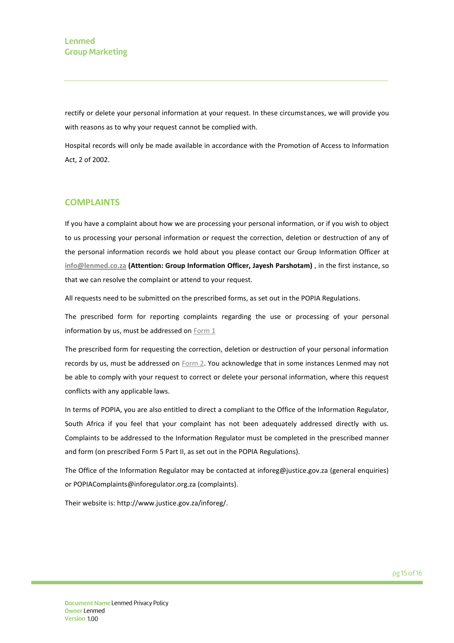rectify or delete your personal information at your request. In these circumstances, we will provide you with reasons as to why your request cannot be complied with.

Hospital records will only be made available in accordance with the Promotion of Access to Information Act, 2 of 2002.

### **COMPLAINTS**

If you have a complaint about how we are processing your personal information, or if you wish to object to us processing your personal information or request the correction, deletion or destruction of any of the personal information records we hold about you please contact our Group Information Officer at **[info@lenmed.co.za](mailto:info@lenmed.co.za) (Attention: Group Information Officer, Jayesh Parshotam)** , in the first instance, so that we can resolve the complaint or attend to your request.

All requests need to be submitted on the prescribed forms, as set out in the POPIA Regulations.

The prescribed form for reporting complaints regarding the use or processing of your personal information by us, must be addressed o[n Form 1](•%09https:/www.lenmed.co.za/objection-to-processing-personal-information/)

The prescribed form for requesting the correction, deletion or destruction of your personal information records by us, must be addressed on [Form 2.](•%09https:/www.lenmed.co.za/export-correction-or-erasure-of-personal-information/) You acknowledge that in some instances Lenmed may not be able to comply with your request to correct or delete your personal information, where this request conflicts with any applicable laws.

In terms of POPIA, you are also entitled to direct a compliant to the Office of the Information Regulator, South Africa if you feel that your complaint has not been adequately addressed directly with us. Complaints to be addressed to the Information Regulator must be completed in the prescribed manner and form (on prescribed Form 5 Part II, as set out in the POPIA Regulations).

The Office of the Information Regulator may be contacted at inforeg@justice.gov.za (general enquiries) or POPIAComplaints@inforegulator.org.za (complaints).

Their website is: http://www.justice.gov.za/inforeg/.